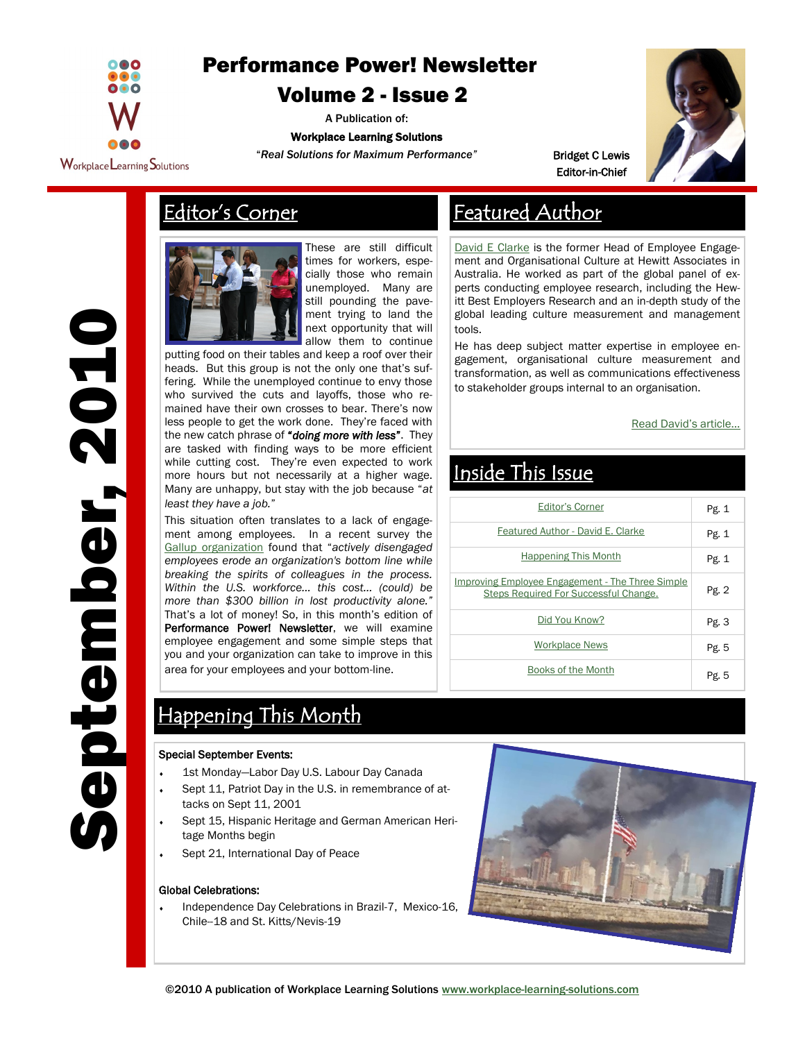<span id="page-0-0"></span>

# [Performance Power! Newsletter](#page-0-0)

## [Volume 2 -](#page-0-0) Issue 2

A Publication of:

## Workplace Learning Solutions

"*Real Solutions for Maximum Performance"*



Bridget C Lewis Editor-in-Chief



These are still difficult times for workers, especially those who remain unemployed. Many are still pounding the pavement trying to land the next opportunity that will allow them to continue

putting food on their tables and keep a roof over their heads. But this group is not the only one that's suffering. While the unemployed continue to envy those who survived the cuts and layoffs, those who remained have their own crosses to bear. There's now less people to get the work done. They're faced with the new catch phrase of "*doing more with less*". They are tasked with finding ways to be more efficient while cutting cost. They're even expected to work more hours but not necessarily at a higher wage. Many are unhappy, but stay with the job because "*at least they have a job.*"

This situation often translates to a lack of engagement among employees. In a recent survey the [Gallup organization](http://www.gallup.com/consulting/52/Employee-Engagement.aspx) found that "*actively disengaged employees erode an organization's bottom line while breaking the spirits of colleagues in the process. Within the U.S. workforce… this cost… (could) be more than \$300 billion in lost productivity alone."*  That's a lot of money! So, in this month's edition of Performance Power! Newsletter, we will examine employee engagement and some simple steps that you and your organization can take to improve in this area for your employees and your bottom-line.

# Editor's Corner The Featured Author

[David E Clarke](http://EzineArticles.com/?Improving-Employee-Engagement---The-Three-Simple-Steps-Required-For-Successful-Change&id=4783380) is the former Head of Employee Engagement and Organisational Culture at Hewitt Associates in Australia. He worked as part of the global panel of experts conducting employee research, including the Hewitt Best Employers Research and an in-depth study of the global leading culture measurement and management tools.

He has deep subject matter expertise in employee engagement, organisational culture measurement and transformation, as well as communications effectiveness to stakeholder groups internal to an organisation.

[Read David's article...](#page-1-0)

# Inside This Issue

| <b>Editor's Corner</b>                                                                    | Pg. 1 |
|-------------------------------------------------------------------------------------------|-------|
| Featured Author - David E. Clarke                                                         | Pg. 1 |
| <b>Happening This Month</b>                                                               | Pg. 1 |
| Improving Employee Engagement - The Three Simple<br>Steps Required For Successful Change. | Pg. 2 |
| Did You Know?                                                                             | Pg. 3 |
| <b>Workplace News</b>                                                                     | Pg. 5 |
| Books of the Month                                                                        | Pg. 5 |

# Happening This Month

#### Special September Events:

- 1st Monday—Labor Day U.S. Labour Day Canada
- Sept 11, Patriot Day in the U.S. in remembrance of attacks on Sept 11, 2001
- Sept 15, Hispanic Heritage and German American Heritage Months begin
- Sept 21, International Day of Peace

### Global Celebrations:

 Independence Day Celebrations in Brazil-7, Mexico-16, Chile--18 and St. Kitts/Nevis-19



September, 2010 eptember, 2010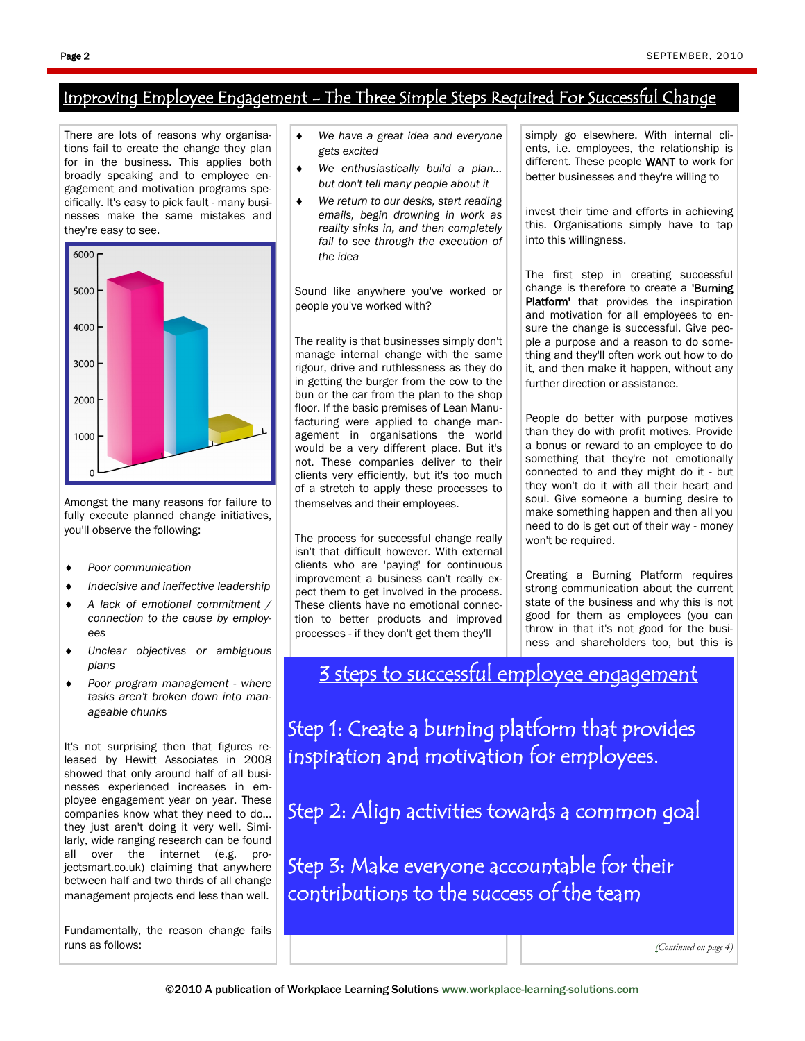## <span id="page-1-0"></span>Improving Employee Engagement - The Three Simple Steps Required For Successful Change

There are lots of reasons why organisations fail to create the change they plan for in the business. This applies both broadly speaking and to employee engagement and motivation programs specifically. It's easy to pick fault - many businesses make the same mistakes and they're easy to see.



Amongst the many reasons for failure to fully execute planned change initiatives, you'll observe the following:

- *Poor communication*
- *Indecisive and ineffective leadership*
- *A lack of emotional commitment / connection to the cause by employees*
- *Unclear objectives or ambiguous plans*
- *Poor program management - where tasks aren't broken down into manageable chunks*

It's not surprising then that figures released by Hewitt Associates in 2008 showed that only around half of all businesses experienced increases in employee engagement year on year. These companies know what they need to do... they just aren't doing it very well. Similarly, wide ranging research can be found all over the internet (e.g. projectsmart.co.uk) claiming that anywhere between half and two thirds of all change management projects end less than well.

Fundamentally, the reason change fails runs as follows:

- *We have a great idea and everyone gets excited*
- *We enthusiastically build a plan... but don't tell many people about it*
- *We return to our desks, start reading emails, begin drowning in work as reality sinks in, and then completely fail to see through the execution of the idea*

Sound like anywhere you've worked or people you've worked with?

The reality is that businesses simply don't manage internal change with the same rigour, drive and ruthlessness as they do in getting the burger from the cow to the bun or the car from the plan to the shop floor. If the basic premises of Lean Manufacturing were applied to change management in organisations the world would be a very different place. But it's not. These companies deliver to their clients very efficiently, but it's too much of a stretch to apply these processes to themselves and their employees.

The process for successful change really isn't that difficult however. With external clients who are 'paying' for continuous improvement a business can't really expect them to get involved in the process. These clients have no emotional connection to better products and improved processes - if they don't get them they'll

simply go elsewhere. With internal clients, i.e. employees, the relationship is different. These people WANT to work for better businesses and they're willing to

invest their time and efforts in achieving this. Organisations simply have to tap into this willingness.

The first step in creating successful change is therefore to create a 'Burning Platform' that provides the inspiration and motivation for all employees to ensure the change is successful. Give people a purpose and a reason to do something and they'll often work out how to do it, and then make it happen, without any further direction or assistance.

People do better with purpose motives than they do with profit motives. Provide a bonus or reward to an employee to do something that they're not emotionally connected to and they might do it - but they won't do it with all their heart and soul. Give someone a burning desire to make something happen and then all you need to do is get out of their way - money won't be required.

Creating a Burning Platform requires strong communication about the current state of the business and why this is not good for them as employees (you can throw in that it's not good for the business and shareholders too, but this is

3 steps to successful employee engagement

Step 1: Create a burning platform that provides inspiration and motivation for employees.

Step 2: Align activities towards a common goal

Step 3: Make everyone accountable for their contributions to the success of the team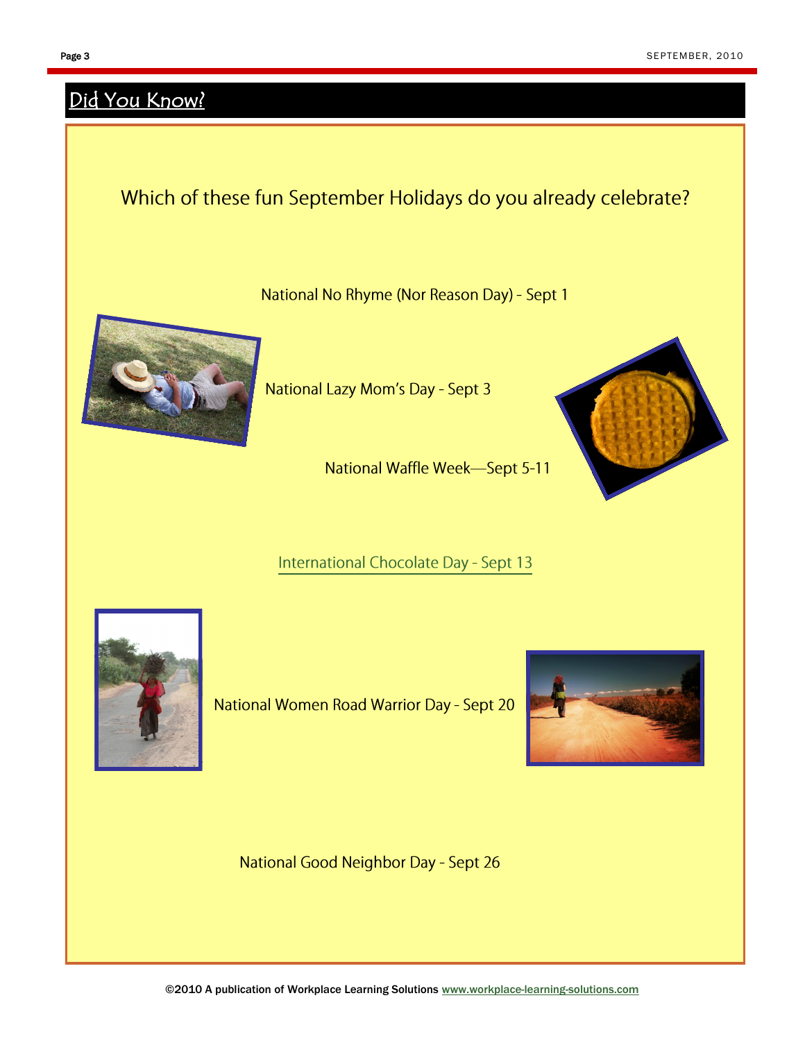# <span id="page-2-0"></span>Did You Know?

# Which of these fun September Holidays do you already celebrate?

National No Rhyme (Nor Reason Day) - Sept 1



National Lazy Mom's Day - Sept 3

National Waffle Week-Sept 5-11

## International Chocolate Day - Sept 13



National Women Road Warrior Day - Sept 20



National Good Neighbor Day - Sept 26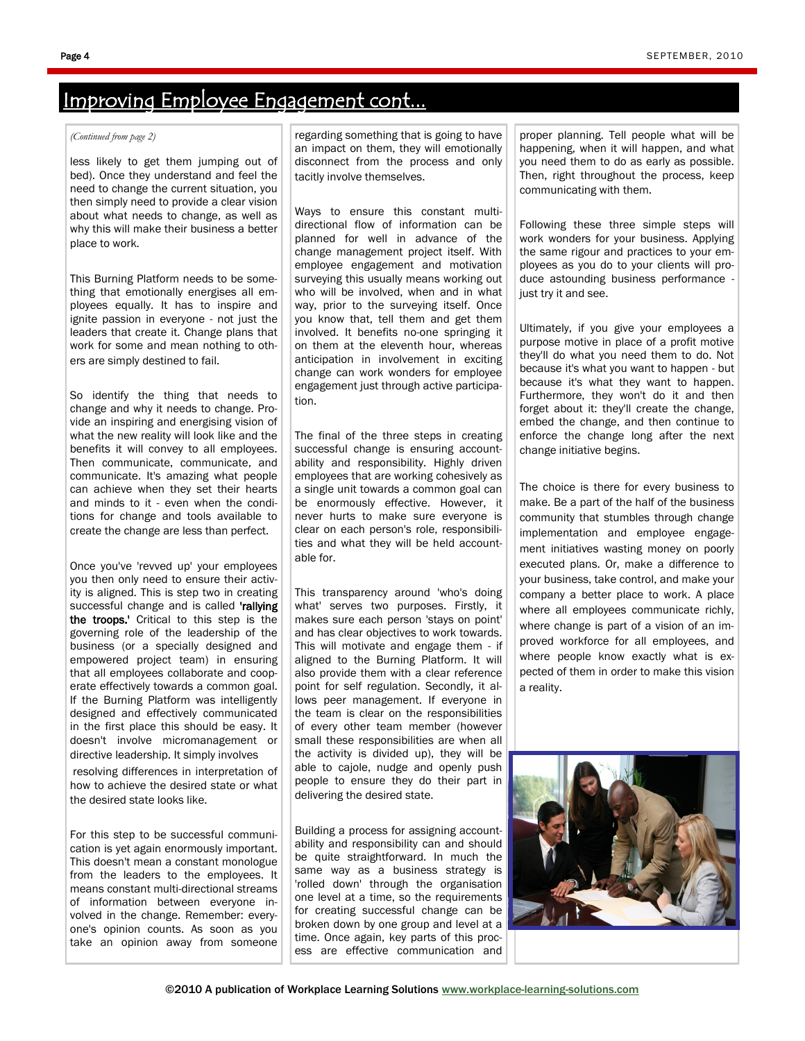#### <span id="page-3-0"></span>*(Continued from page 2)*

less likely to get them jumping out of bed). Once they understand and feel the need to change the current situation, you then simply need to provide a clear vision about what needs to change, as well as why this will make their business a better place to work.

This Burning Platform needs to be something that emotionally energises all employees equally. It has to inspire and ignite passion in everyone - not just the leaders that create it. Change plans that work for some and mean nothing to others are simply destined to fail.

So identify the thing that needs to change and why it needs to change. Provide an inspiring and energising vision of what the new reality will look like and the benefits it will convey to all employees. Then communicate, communicate, and communicate. It's amazing what people can achieve when they set their hearts and minds to it - even when the conditions for change and tools available to create the change are less than perfect.

Once you've 'revved up' your employees you then only need to ensure their activity is aligned. This is step two in creating successful change and is called 'rallying the troops.' Critical to this step is the governing role of the leadership of the business (or a specially designed and empowered project team) in ensuring that all employees collaborate and cooperate effectively towards a common goal. If the Burning Platform was intelligently designed and effectively communicated in the first place this should be easy. It doesn't involve micromanagement or directive leadership. It simply involves

resolving differences in interpretation of how to achieve the desired state or what the desired state looks like.

For this step to be successful communication is yet again enormously important. This doesn't mean a constant monologue from the leaders to the employees. It means constant multi-directional streams of information between everyone involved in the change. Remember: everyone's opinion counts. As soon as you take an opinion away from someone

regarding something that is going to have an impact on them, they will emotionally disconnect from the process and only tacitly involve themselves.

Ways to ensure this constant multidirectional flow of information can be planned for well in advance of the change management project itself. With employee engagement and motivation surveying this usually means working out who will be involved, when and in what way, prior to the surveying itself. Once you know that, tell them and get them involved. It benefits no-one springing it on them at the eleventh hour, whereas anticipation in involvement in exciting change can work wonders for employee engagement just through active participation.

The final of the three steps in creating successful change is ensuring accountability and responsibility. Highly driven employees that are working cohesively as a single unit towards a common goal can be enormously effective. However, it never hurts to make sure everyone is clear on each person's role, responsibilities and what they will be held accountable for.

This transparency around 'who's doing what' serves two purposes. Firstly, it makes sure each person 'stays on point' and has clear objectives to work towards. This will motivate and engage them - if aligned to the Burning Platform. It will also provide them with a clear reference point for self regulation. Secondly, it allows peer management. If everyone in the team is clear on the responsibilities of every other team member (however small these responsibilities are when all the activity is divided up), they will be able to cajole, nudge and openly push people to ensure they do their part in delivering the desired state.

Building a process for assigning accountability and responsibility can and should be quite straightforward. In much the same way as a business strategy is 'rolled down' through the organisation one level at a time, so the requirements for creating successful change can be broken down by one group and level at a time. Once again, key parts of this process are effective communication and

proper planning. Tell people what will be happening, when it will happen, and what you need them to do as early as possible. Then, right throughout the process, keep communicating with them.

Following these three simple steps will work wonders for your business. Applying the same rigour and practices to your employees as you do to your clients will produce astounding business performance just try it and see.

Ultimately, if you give your employees a purpose motive in place of a profit motive they'll do what you need them to do. Not because it's what you want to happen - but because it's what they want to happen. Furthermore, they won't do it and then forget about it: they'll create the change, embed the change, and then continue to enforce the change long after the next change initiative begins.

The choice is there for every business to make. Be a part of the half of the business community that stumbles through change implementation and employee engagement initiatives wasting money on poorly executed plans. Or, make a difference to your business, take control, and make your company a better place to work. A place where all employees communicate richly, where change is part of a vision of an improved workforce for all employees, and where people know exactly what is expected of them in order to make this vision a reality.